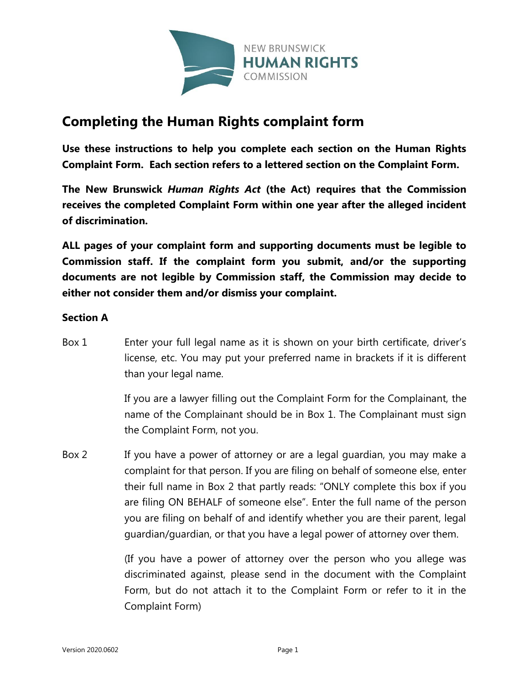

# **Completing the Human Rights complaint form**

**Use these instructions to help you complete each section on the Human Rights Complaint Form. Each section refers to a lettered section on the Complaint Form.**

**The New Brunswick** *Human Rights Act* **(the Act) requires that the Commission receives the completed Complaint Form within one year after the alleged incident of discrimination.**

**ALL pages of your complaint form and supporting documents must be legible to Commission staff. If the complaint form you submit, and/or the supporting documents are not legible by Commission staff, the Commission may decide to either not consider them and/or dismiss your complaint.**

### **Section A**

Box 1 Enter your full legal name as it is shown on your birth certificate, driver's license, etc. You may put your preferred name in brackets if it is different than your legal name.

> If you are a lawyer filling out the Complaint Form for the Complainant, the name of the Complainant should be in Box 1. The Complainant must sign the Complaint Form, not you.

Box 2 If you have a power of attorney or are a legal guardian, you may make a complaint for that person. If you are filing on behalf of someone else, enter their full name in Box 2 that partly reads: "ONLY complete this box if you are filing ON BEHALF of someone else". Enter the full name of the person you are filing on behalf of and identify whether you are their parent, legal guardian/guardian, or that you have a legal power of attorney over them.

> (If you have a power of attorney over the person who you allege was discriminated against, please send in the document with the Complaint Form, but do not attach it to the Complaint Form or refer to it in the Complaint Form)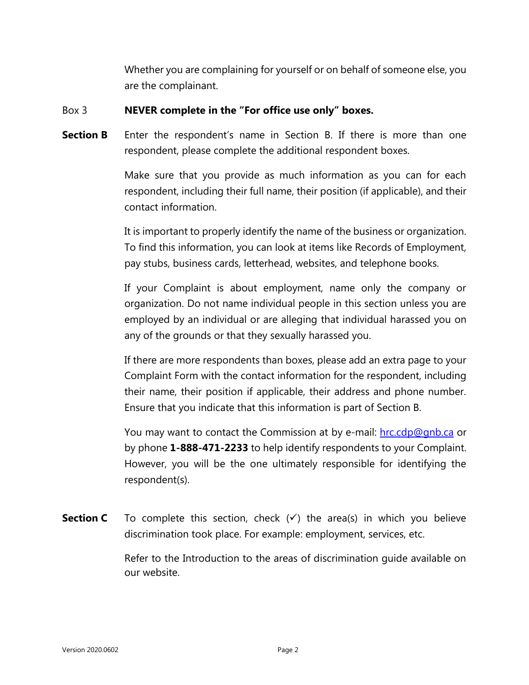Whether you are complaining for yourself or on behalf of someone else, you are the complainant.

### Box 3 **NEVER complete in the "For office use only" boxes.**

**Section B** Enter the respondent's name in Section B. If there is more than one respondent, please complete the additional respondent boxes.

> Make sure that you provide as much information as you can for each respondent, including their full name, their position (if applicable), and their contact information.

> It is important to properly identify the name of the business or organization. To find this information, you can look at items like Records of Employment, pay stubs, business cards, letterhead, websites, and telephone books.

> If your Complaint is about employment, name only the company or organization. Do not name individual people in this section unless you are employed by an individual or are alleging that individual harassed you on any of the grounds or that they sexually harassed you.

> If there are more respondents than boxes, please add an extra page to your Complaint Form with the contact information for the respondent, including their name, their position if applicable, their address and phone number. Ensure that you indicate that this information is part of Section B.

> You may want to contact the Commission at by e-mail: hrc.cdp@gnb.ca or by phone **1-888-471-2233** to help identify respondents to your Complaint. However, you will be the one ultimately responsible for identifying the respondent(s).

**Section C** To complete this section, check  $(\checkmark)$  the area(s) in which you believe discrimination took place. For example: employment, services, etc.

> Refer to the Introduction to the areas of discrimination guide available on our website.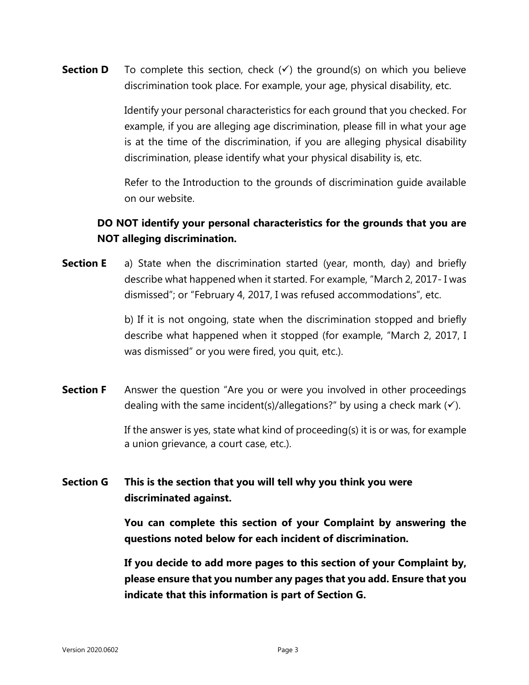**Section D** To complete this section, check  $(\checkmark)$  the ground(s) on which you believe discrimination took place. For example, your age, physical disability, etc.

> Identify your personal characteristics for each ground that you checked. For example, if you are alleging age discrimination, please fill in what your age is at the time of the discrimination, if you are alleging physical disability discrimination, please identify what your physical disability is, etc.

> Refer to the Introduction to the grounds of discrimination guide available on our website.

# **DO NOT identify your personal characteristics for the grounds that you are NOT alleging discrimination.**

**Section E** a) State when the discrimination started (year, month, day) and briefly describe what happened when it started. For example, "March 2, 2017- I was dismissed"; or "February 4, 2017, I was refused accommodations", etc.

> b) If it is not ongoing, state when the discrimination stopped and briefly describe what happened when it stopped (for example, "March 2, 2017, I was dismissed" or you were fired, you quit, etc.).

**Section F** Answer the question "Are you or were you involved in other proceedings dealing with the same incident(s)/allegations?" by using a check mark  $(\checkmark)$ .

> If the answer is yes, state what kind of proceeding(s) it is or was, for example a union grievance, a court case, etc.).

## **Section G This is the section that you will tell why you think you were discriminated against.**

**You can complete this section of your Complaint by answering the questions noted below for each incident of discrimination.** 

**If you decide to add more pages to this section of your Complaint by, please ensure that you number any pages that you add. Ensure that you indicate that this information is part of Section G.**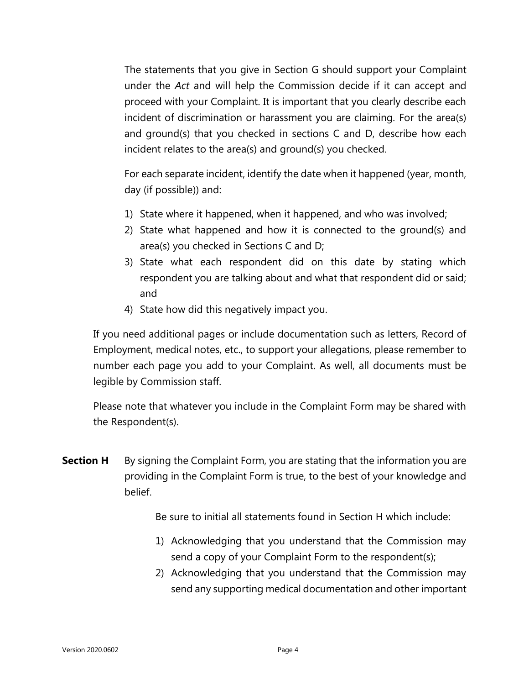The statements that you give in Section G should support your Complaint under the *Act* and will help the Commission decide if it can accept and proceed with your Complaint. It is important that you clearly describe each incident of discrimination or harassment you are claiming. For the area(s) and ground(s) that you checked in sections C and D, describe how each incident relates to the area(s) and ground(s) you checked.

For each separate incident, identify the date when it happened (year, month, day (if possible)) and:

- 1) State where it happened, when it happened, and who was involved;
- 2) State what happened and how it is connected to the ground(s) and area(s) you checked in Sections C and D;
- 3) State what each respondent did on this date by stating which respondent you are talking about and what that respondent did or said; and
- 4) State how did this negatively impact you.

If you need additional pages or include documentation such as letters, Record of Employment, medical notes, etc., to support your allegations, please remember to number each page you add to your Complaint. As well, all documents must be legible by Commission staff.

Please note that whatever you include in the Complaint Form may be shared with the Respondent(s).

**Section H** By signing the Complaint Form, you are stating that the information you are providing in the Complaint Form is true, to the best of your knowledge and belief.

Be sure to initial all statements found in Section H which include:

- 1) Acknowledging that you understand that the Commission may send a copy of your Complaint Form to the respondent(s);
- 2) Acknowledging that you understand that the Commission may send any supporting medical documentation and other important